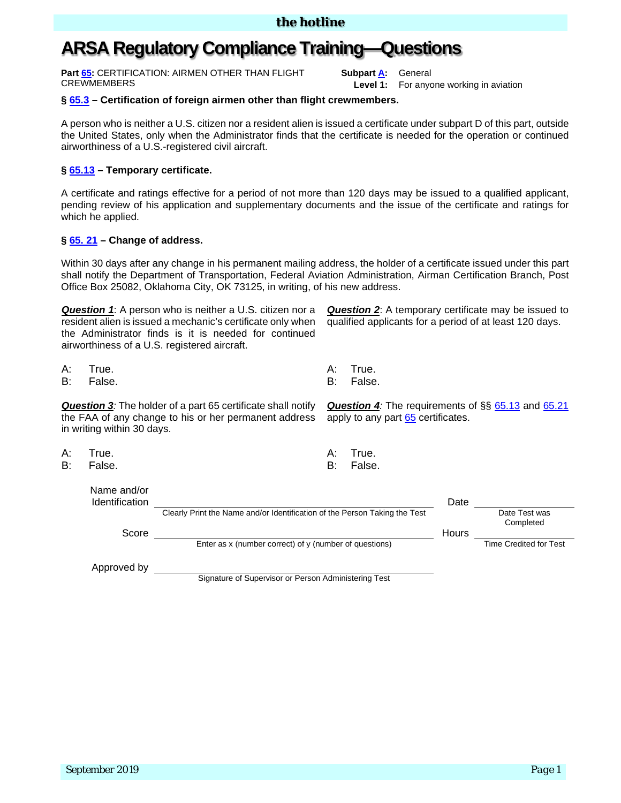# **ARSA Regulatory Compliance Training—Questions**

**Part [65:](https://www.ecfr.gov/cgi-bin/text-idx?SID=562186096ee8fe3ddae255859d97fdb2&mc=true&node=pt14.2.65&rgn=div5)** CERTIFICATION: AIRMEN OTHER THAN FLIGHT **CREWMEMBERS** 

**Subpart [A:](https://www.ecfr.gov/cgi-bin/text-idx?SID=cdd4b34af8e30d8a49b21bedbdc91dd3&mc=true&node=sp14.2.65.a&rgn=div6)** General

**Level 1:** For anyone working in aviation

### **§ [65.3](https://www.ecfr.gov/cgi-bin/text-idx?SID=cdd4b34af8e30d8a49b21bedbdc91dd3&mc=true&node=se14.2.65_13&rgn=div8) – Certification of foreign airmen other than flight crewmembers.**

A person who is neither a U.S. citizen nor a resident alien is issued a certificate under subpart D of this part, outside the United States, only when the Administrator finds that the certificate is needed for the operation or continued airworthiness of a U.S.-registered civil aircraft.

### **§ [65.13](https://www.ecfr.gov/cgi-bin/text-idx?SID=cdd4b34af8e30d8a49b21bedbdc91dd3&mc=true&node=se14.2.65_113&rgn=div8) – Temporary certificate.**

A certificate and ratings effective for a period of not more than 120 days may be issued to a qualified applicant, pending review of his application and supplementary documents and the issue of the certificate and ratings for which he applied.

#### **§ [65. 21](https://www.ecfr.gov/cgi-bin/text-idx?SID=cdd4b34af8e30d8a49b21bedbdc91dd3&mc=true&node=se14.2.65_121&rgn=div8) – Change of address.**

Within 30 days after any change in his permanent mailing address, the holder of a certificate issued under this part shall notify the Department of Transportation, Federal Aviation Administration, Airman Certification Branch, Post Office Box 25082, Oklahoma City, OK 73125, in writing, of his new address.

*Question 1*: A person who is neither a U.S. citizen nor a resident alien is issued a mechanic's certificate only when the Administrator finds is it is needed for continued airworthiness of a U.S. registered aircraft.

A: True. A: True.

B: False. B: False.

**Question 3**<sup>*:*</sup> The holder of a part 65 certificate shall notify the FAA of any change to his or her permanent address in writing within 30 days.

- A: True. A: True.
- B: False. B: False.

Name and/or

*Question 2*: A temporary certificate may be issued to qualified applicants for a period of at least 120 days.

**Question 4***:* The requirements of §§ [65.13](https://www.ecfr.gov/cgi-bin/text-idx?SID=cdd4b34af8e30d8a49b21bedbdc91dd3&mc=true&node=se14.2.65_113&rgn=div8) and [65.21](https://www.ecfr.gov/cgi-bin/text-idx?SID=cdd4b34af8e30d8a49b21bedbdc91dd3&mc=true&node=se14.2.65_121&rgn=div8) apply to any part [65](https://www.ecfr.gov/cgi-bin/retrieveECFR?gp=&SID=5dc660b0a2275236fabdb7966b51e26a&mc=true&n=pt14.2.65&r=PART&ty=HTML) certificates.

| l rue |
|-------|
|       |

| i vallit aliu/Ul<br><b>Identification</b> |                                                                            | Date  |                            |
|-------------------------------------------|----------------------------------------------------------------------------|-------|----------------------------|
|                                           | Clearly Print the Name and/or Identification of the Person Taking the Test |       | Date Test was<br>Completed |
| Score                                     |                                                                            | Hours |                            |
|                                           | Enter as x (number correct) of y (number of questions)                     |       | Time Credited for Test     |
| Approved by                               |                                                                            |       |                            |

Signature of Supervisor or Person Administering Test